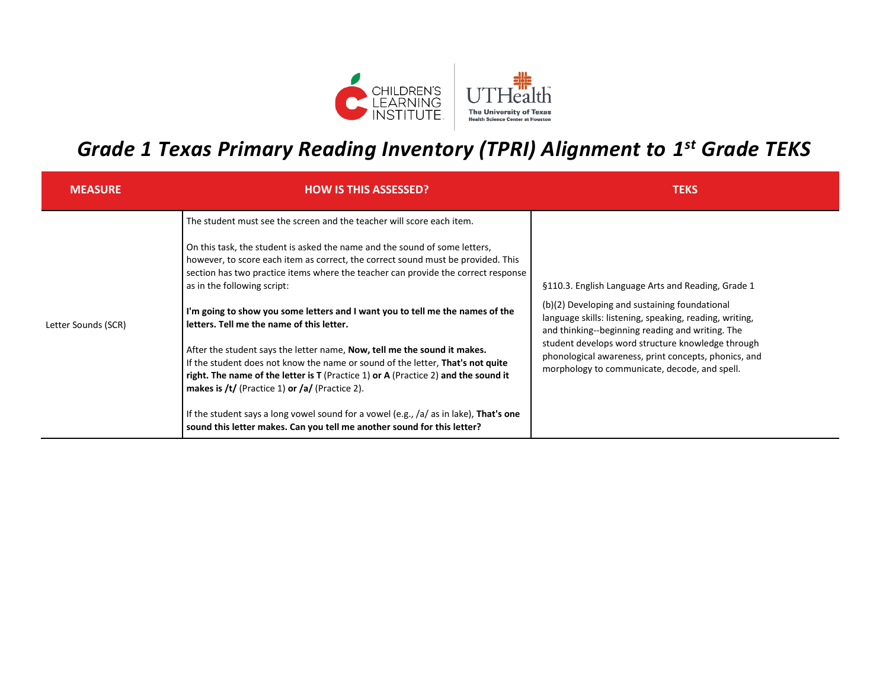

## *Grade 1 Texas Primary Reading Inventory (TPRI) Alignment to 1 st Grade TEKS*

| <b>MEASURE</b>      | <b>HOW IS THIS ASSESSED?</b>                                                                                                                                                                                                                                                                                                                                                                                                                                                                                                                                                                                                                                                                                                                                                                                                                                                                                                                                          | <b>TEKS</b>                                                                                                                                                                                                                                                                                                                                                                      |
|---------------------|-----------------------------------------------------------------------------------------------------------------------------------------------------------------------------------------------------------------------------------------------------------------------------------------------------------------------------------------------------------------------------------------------------------------------------------------------------------------------------------------------------------------------------------------------------------------------------------------------------------------------------------------------------------------------------------------------------------------------------------------------------------------------------------------------------------------------------------------------------------------------------------------------------------------------------------------------------------------------|----------------------------------------------------------------------------------------------------------------------------------------------------------------------------------------------------------------------------------------------------------------------------------------------------------------------------------------------------------------------------------|
| Letter Sounds (SCR) | The student must see the screen and the teacher will score each item.<br>On this task, the student is asked the name and the sound of some letters,<br>however, to score each item as correct, the correct sound must be provided. This<br>section has two practice items where the teacher can provide the correct response<br>as in the following script:<br>I'm going to show you some letters and I want you to tell me the names of the<br>letters. Tell me the name of this letter.<br>After the student says the letter name, Now, tell me the sound it makes.<br>If the student does not know the name or sound of the letter, That's not quite<br>right. The name of the letter is $T$ (Practice 1) or A (Practice 2) and the sound it<br>makes is /t/ (Practice 1) or /a/ (Practice 2).<br>If the student says a long vowel sound for a vowel (e.g., /a/ as in lake), That's one<br>sound this letter makes. Can you tell me another sound for this letter? | §110.3. English Language Arts and Reading, Grade 1<br>(b)(2) Developing and sustaining foundational<br>language skills: listening, speaking, reading, writing,<br>and thinking--beginning reading and writing. The<br>student develops word structure knowledge through<br>phonological awareness, print concepts, phonics, and<br>morphology to communicate, decode, and spell. |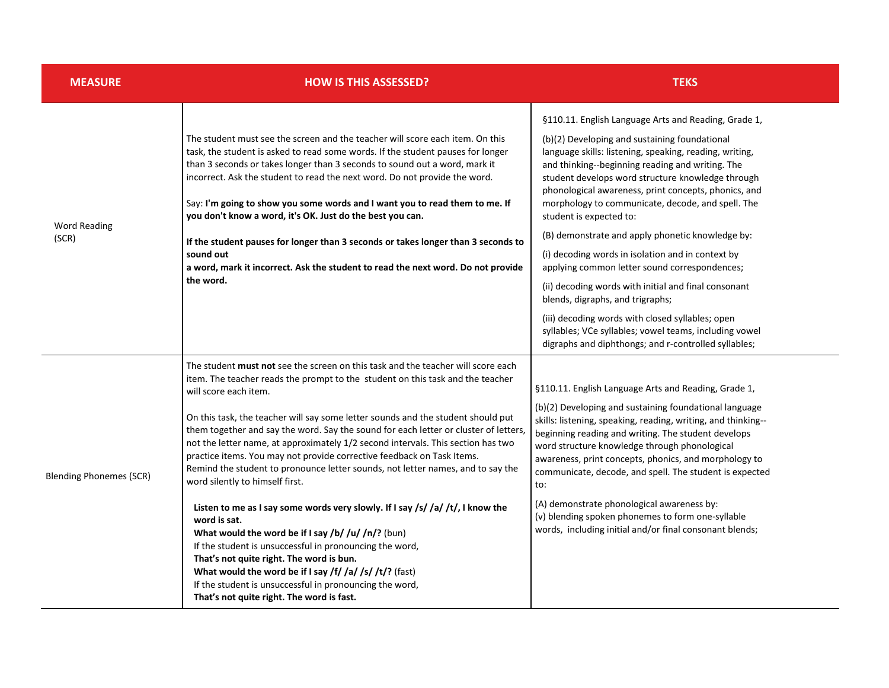| <b>MEASURE</b>                 | <b>HOW IS THIS ASSESSED?</b>                                                                                                                                                                                                                                                                                                                                                                                                                                                                                                                                                                                                                                                                                                                                                                                                                                                                                                                                                                                                                                                                                       | <b>TEKS</b>                                                                                                                                                                                                                                                                                                                                                                                                                                                                                                                                                                                                                                                                                                                                                                                                                                   |
|--------------------------------|--------------------------------------------------------------------------------------------------------------------------------------------------------------------------------------------------------------------------------------------------------------------------------------------------------------------------------------------------------------------------------------------------------------------------------------------------------------------------------------------------------------------------------------------------------------------------------------------------------------------------------------------------------------------------------------------------------------------------------------------------------------------------------------------------------------------------------------------------------------------------------------------------------------------------------------------------------------------------------------------------------------------------------------------------------------------------------------------------------------------|-----------------------------------------------------------------------------------------------------------------------------------------------------------------------------------------------------------------------------------------------------------------------------------------------------------------------------------------------------------------------------------------------------------------------------------------------------------------------------------------------------------------------------------------------------------------------------------------------------------------------------------------------------------------------------------------------------------------------------------------------------------------------------------------------------------------------------------------------|
| <b>Word Reading</b><br>(SCR)   | The student must see the screen and the teacher will score each item. On this<br>task, the student is asked to read some words. If the student pauses for longer<br>than 3 seconds or takes longer than 3 seconds to sound out a word, mark it<br>incorrect. Ask the student to read the next word. Do not provide the word.<br>Say: I'm going to show you some words and I want you to read them to me. If<br>you don't know a word, it's OK. Just do the best you can.<br>If the student pauses for longer than 3 seconds or takes longer than 3 seconds to<br>sound out<br>a word, mark it incorrect. Ask the student to read the next word. Do not provide<br>the word.                                                                                                                                                                                                                                                                                                                                                                                                                                        | §110.11. English Language Arts and Reading, Grade 1,<br>(b)(2) Developing and sustaining foundational<br>language skills: listening, speaking, reading, writing,<br>and thinking--beginning reading and writing. The<br>student develops word structure knowledge through<br>phonological awareness, print concepts, phonics, and<br>morphology to communicate, decode, and spell. The<br>student is expected to:<br>(B) demonstrate and apply phonetic knowledge by:<br>(i) decoding words in isolation and in context by<br>applying common letter sound correspondences;<br>(ii) decoding words with initial and final consonant<br>blends, digraphs, and trigraphs;<br>(iii) decoding words with closed syllables; open<br>syllables; VCe syllables; vowel teams, including vowel<br>digraphs and diphthongs; and r-controlled syllables; |
| <b>Blending Phonemes (SCR)</b> | The student must not see the screen on this task and the teacher will score each<br>item. The teacher reads the prompt to the student on this task and the teacher<br>will score each item.<br>On this task, the teacher will say some letter sounds and the student should put<br>them together and say the word. Say the sound for each letter or cluster of letters,<br>not the letter name, at approximately 1/2 second intervals. This section has two<br>practice items. You may not provide corrective feedback on Task Items.<br>Remind the student to pronounce letter sounds, not letter names, and to say the<br>word silently to himself first.<br>Listen to me as I say some words very slowly. If I say $\frac{s}{s}$ /a/ $\frac{t}{t}$ , I know the<br>word is sat.<br>What would the word be if I say /b/ /u/ /n/? (bun)<br>If the student is unsuccessful in pronouncing the word,<br>That's not quite right. The word is bun.<br>What would the word be if I say /f/ /a/ /s/ /t/? (fast)<br>If the student is unsuccessful in pronouncing the word,<br>That's not quite right. The word is fast. | §110.11. English Language Arts and Reading, Grade 1,<br>(b)(2) Developing and sustaining foundational language<br>skills: listening, speaking, reading, writing, and thinking--<br>beginning reading and writing. The student develops<br>word structure knowledge through phonological<br>awareness, print concepts, phonics, and morphology to<br>communicate, decode, and spell. The student is expected<br>to:<br>(A) demonstrate phonological awareness by:<br>(v) blending spoken phonemes to form one-syllable<br>words, including initial and/or final consonant blends;                                                                                                                                                                                                                                                              |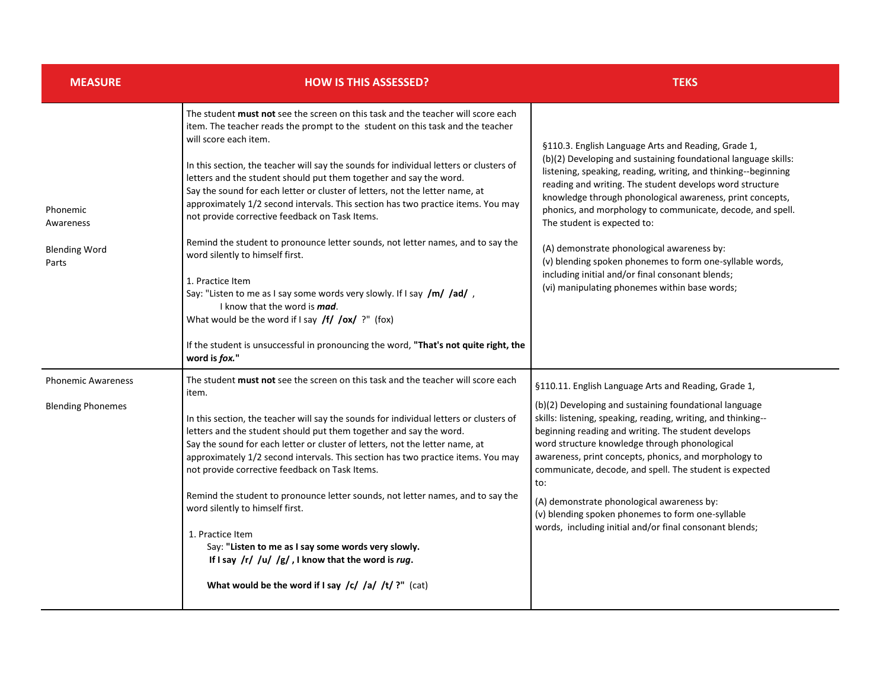| <b>MEASURE</b>                                         | <b>HOW IS THIS ASSESSED?</b>                                                                                                                                                                                                                                                                                                                                                                                                                                                                                                                                                                                                                                                                                                                                                                                                                                                                                                                                                                                     | <b>TEKS</b>                                                                                                                                                                                                                                                                                                                                                                                                                                                                                                                                                                                                                  |
|--------------------------------------------------------|------------------------------------------------------------------------------------------------------------------------------------------------------------------------------------------------------------------------------------------------------------------------------------------------------------------------------------------------------------------------------------------------------------------------------------------------------------------------------------------------------------------------------------------------------------------------------------------------------------------------------------------------------------------------------------------------------------------------------------------------------------------------------------------------------------------------------------------------------------------------------------------------------------------------------------------------------------------------------------------------------------------|------------------------------------------------------------------------------------------------------------------------------------------------------------------------------------------------------------------------------------------------------------------------------------------------------------------------------------------------------------------------------------------------------------------------------------------------------------------------------------------------------------------------------------------------------------------------------------------------------------------------------|
| Phonemic<br>Awareness<br><b>Blending Word</b><br>Parts | The student <b>must not</b> see the screen on this task and the teacher will score each<br>item. The teacher reads the prompt to the student on this task and the teacher<br>will score each item.<br>In this section, the teacher will say the sounds for individual letters or clusters of<br>letters and the student should put them together and say the word.<br>Say the sound for each letter or cluster of letters, not the letter name, at<br>approximately 1/2 second intervals. This section has two practice items. You may<br>not provide corrective feedback on Task Items.<br>Remind the student to pronounce letter sounds, not letter names, and to say the<br>word silently to himself first.<br>1. Practice Item<br>Say: "Listen to me as I say some words very slowly. If I say /m/ /ad/,<br>I know that the word is mad.<br>What would be the word if I say $f f / \cos f$ ?" (fox)<br>If the student is unsuccessful in pronouncing the word, "That's not quite right, the<br>word is fox." | §110.3. English Language Arts and Reading, Grade 1,<br>(b)(2) Developing and sustaining foundational language skills:<br>listening, speaking, reading, writing, and thinking--beginning<br>reading and writing. The student develops word structure<br>knowledge through phonological awareness, print concepts,<br>phonics, and morphology to communicate, decode, and spell.<br>The student is expected to:<br>(A) demonstrate phonological awareness by:<br>(v) blending spoken phonemes to form one-syllable words,<br>including initial and/or final consonant blends;<br>(vi) manipulating phonemes within base words; |
| <b>Phonemic Awareness</b><br><b>Blending Phonemes</b>  | The student must not see the screen on this task and the teacher will score each<br>item.<br>In this section, the teacher will say the sounds for individual letters or clusters of<br>letters and the student should put them together and say the word.<br>Say the sound for each letter or cluster of letters, not the letter name, at<br>approximately 1/2 second intervals. This section has two practice items. You may<br>not provide corrective feedback on Task Items.<br>Remind the student to pronounce letter sounds, not letter names, and to say the<br>word silently to himself first.<br>1. Practice Item<br>Say: "Listen to me as I say some words very slowly.<br>If I say $/r/$ /u/ /g/, I know that the word is rug.<br>What would be the word if I say /c/ /a/ /t/ ?" (cat)                                                                                                                                                                                                                 | §110.11. English Language Arts and Reading, Grade 1,<br>(b)(2) Developing and sustaining foundational language<br>skills: listening, speaking, reading, writing, and thinking--<br>beginning reading and writing. The student develops<br>word structure knowledge through phonological<br>awareness, print concepts, phonics, and morphology to<br>communicate, decode, and spell. The student is expected<br>to:<br>(A) demonstrate phonological awareness by:<br>(v) blending spoken phonemes to form one-syllable<br>words, including initial and/or final consonant blends;                                             |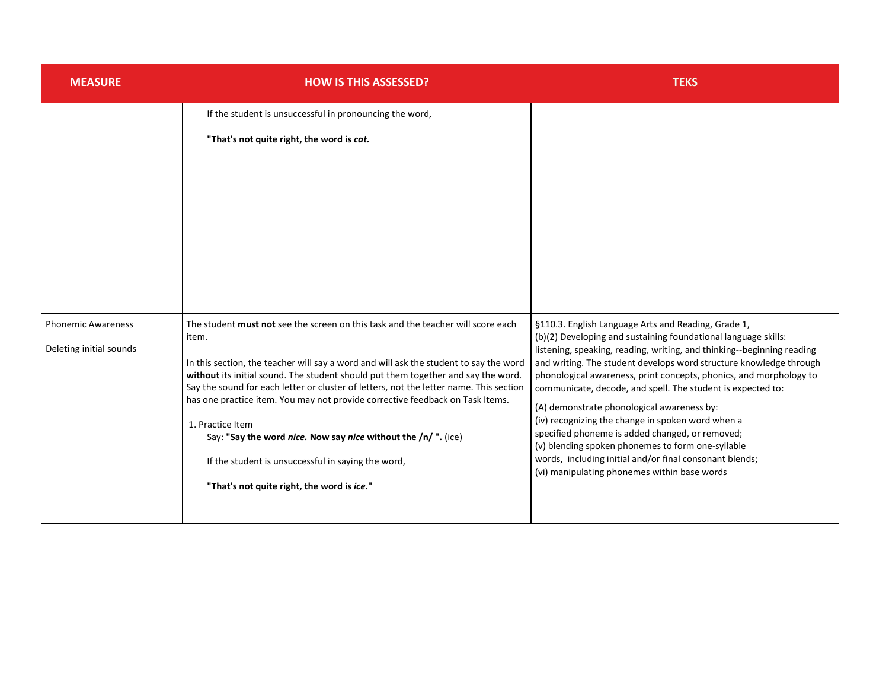| <b>MEASURE</b>                                       | <b>HOW IS THIS ASSESSED?</b>                                                                                                                                                                                                                                                                                                                                                                                                                                                                                                                                                                                                                 | <b>TEKS</b>                                                                                                                                                                                                                                                                                                                                                                                                                                                                                                                                                                                                                                                                                                                      |
|------------------------------------------------------|----------------------------------------------------------------------------------------------------------------------------------------------------------------------------------------------------------------------------------------------------------------------------------------------------------------------------------------------------------------------------------------------------------------------------------------------------------------------------------------------------------------------------------------------------------------------------------------------------------------------------------------------|----------------------------------------------------------------------------------------------------------------------------------------------------------------------------------------------------------------------------------------------------------------------------------------------------------------------------------------------------------------------------------------------------------------------------------------------------------------------------------------------------------------------------------------------------------------------------------------------------------------------------------------------------------------------------------------------------------------------------------|
|                                                      | If the student is unsuccessful in pronouncing the word,<br>"That's not quite right, the word is cat.                                                                                                                                                                                                                                                                                                                                                                                                                                                                                                                                         |                                                                                                                                                                                                                                                                                                                                                                                                                                                                                                                                                                                                                                                                                                                                  |
| <b>Phonemic Awareness</b><br>Deleting initial sounds | The student must not see the screen on this task and the teacher will score each<br>item.<br>In this section, the teacher will say a word and will ask the student to say the word<br>without its initial sound. The student should put them together and say the word.<br>Say the sound for each letter or cluster of letters, not the letter name. This section<br>has one practice item. You may not provide corrective feedback on Task Items.<br>1. Practice Item<br>Say: "Say the word nice. Now say nice without the /n/ ". (ice)<br>If the student is unsuccessful in saying the word,<br>"That's not quite right, the word is ice." | §110.3. English Language Arts and Reading, Grade 1,<br>(b)(2) Developing and sustaining foundational language skills:<br>listening, speaking, reading, writing, and thinking--beginning reading<br>and writing. The student develops word structure knowledge through<br>phonological awareness, print concepts, phonics, and morphology to<br>communicate, decode, and spell. The student is expected to:<br>(A) demonstrate phonological awareness by:<br>(iv) recognizing the change in spoken word when a<br>specified phoneme is added changed, or removed;<br>(v) blending spoken phonemes to form one-syllable<br>words, including initial and/or final consonant blends;<br>(vi) manipulating phonemes within base words |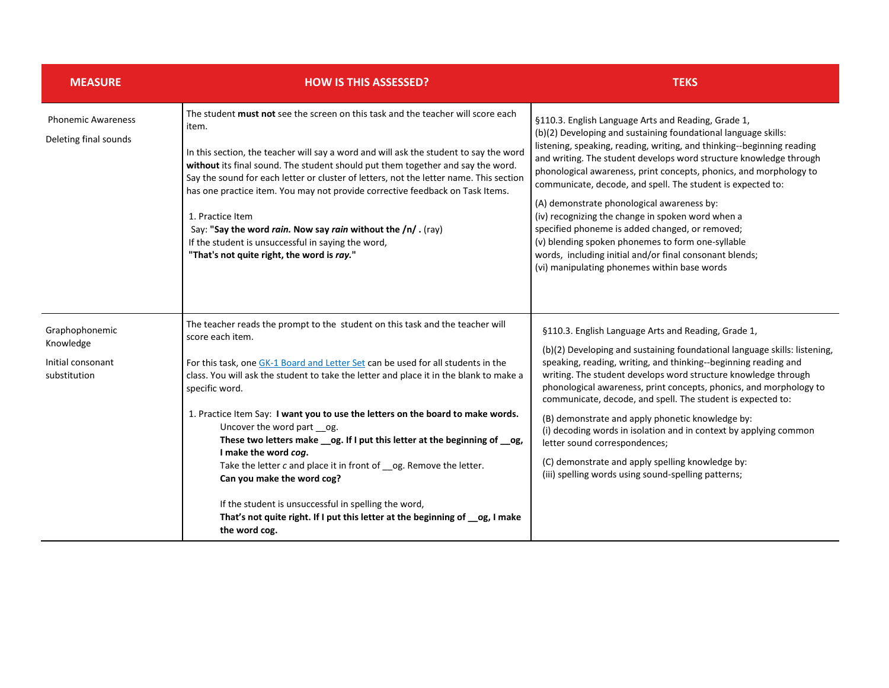| <b>MEASURE</b>                                                   | <b>HOW IS THIS ASSESSED?</b>                                                                                                                                                                                                                                                                                                                                                                                                                                                                                                                                                                                                                                                                                                                                                                | <b>TEKS</b>                                                                                                                                                                                                                                                                                                                                                                                                                                                                                                                                                                                                                                                                                                                      |
|------------------------------------------------------------------|---------------------------------------------------------------------------------------------------------------------------------------------------------------------------------------------------------------------------------------------------------------------------------------------------------------------------------------------------------------------------------------------------------------------------------------------------------------------------------------------------------------------------------------------------------------------------------------------------------------------------------------------------------------------------------------------------------------------------------------------------------------------------------------------|----------------------------------------------------------------------------------------------------------------------------------------------------------------------------------------------------------------------------------------------------------------------------------------------------------------------------------------------------------------------------------------------------------------------------------------------------------------------------------------------------------------------------------------------------------------------------------------------------------------------------------------------------------------------------------------------------------------------------------|
| <b>Phonemic Awareness</b><br>Deleting final sounds               | The student must not see the screen on this task and the teacher will score each<br>item.<br>In this section, the teacher will say a word and will ask the student to say the word<br>without its final sound. The student should put them together and say the word.<br>Say the sound for each letter or cluster of letters, not the letter name. This section<br>has one practice item. You may not provide corrective feedback on Task Items.<br>1. Practice Item<br>Say: "Say the word rain. Now say rain without the /n/. (ray)<br>If the student is unsuccessful in saying the word,<br>"That's not quite right, the word is ray."                                                                                                                                                    | §110.3. English Language Arts and Reading, Grade 1,<br>(b)(2) Developing and sustaining foundational language skills:<br>listening, speaking, reading, writing, and thinking--beginning reading<br>and writing. The student develops word structure knowledge through<br>phonological awareness, print concepts, phonics, and morphology to<br>communicate, decode, and spell. The student is expected to:<br>(A) demonstrate phonological awareness by:<br>(iv) recognizing the change in spoken word when a<br>specified phoneme is added changed, or removed;<br>(v) blending spoken phonemes to form one-syllable<br>words, including initial and/or final consonant blends;<br>(vi) manipulating phonemes within base words |
| Graphophonemic<br>Knowledge<br>Initial consonant<br>substitution | The teacher reads the prompt to the student on this task and the teacher will<br>score each item.<br>For this task, one GK-1 Board and Letter Set can be used for all students in the<br>class. You will ask the student to take the letter and place it in the blank to make a<br>specific word.<br>1. Practice Item Say: I want you to use the letters on the board to make words.<br>Uncover the word part __og.<br>These two letters make __ og. If I put this letter at the beginning of __ og,<br>I make the word cog.<br>Take the letter c and place it in front of __ og. Remove the letter.<br>Can you make the word cog?<br>If the student is unsuccessful in spelling the word,<br>That's not quite right. If I put this letter at the beginning of _og, I make<br>the word cog. | §110.3. English Language Arts and Reading, Grade 1,<br>(b)(2) Developing and sustaining foundational language skills: listening,<br>speaking, reading, writing, and thinking--beginning reading and<br>writing. The student develops word structure knowledge through<br>phonological awareness, print concepts, phonics, and morphology to<br>communicate, decode, and spell. The student is expected to:<br>(B) demonstrate and apply phonetic knowledge by:<br>(i) decoding words in isolation and in context by applying common<br>letter sound correspondences;<br>(C) demonstrate and apply spelling knowledge by:<br>(iii) spelling words using sound-spelling patterns;                                                  |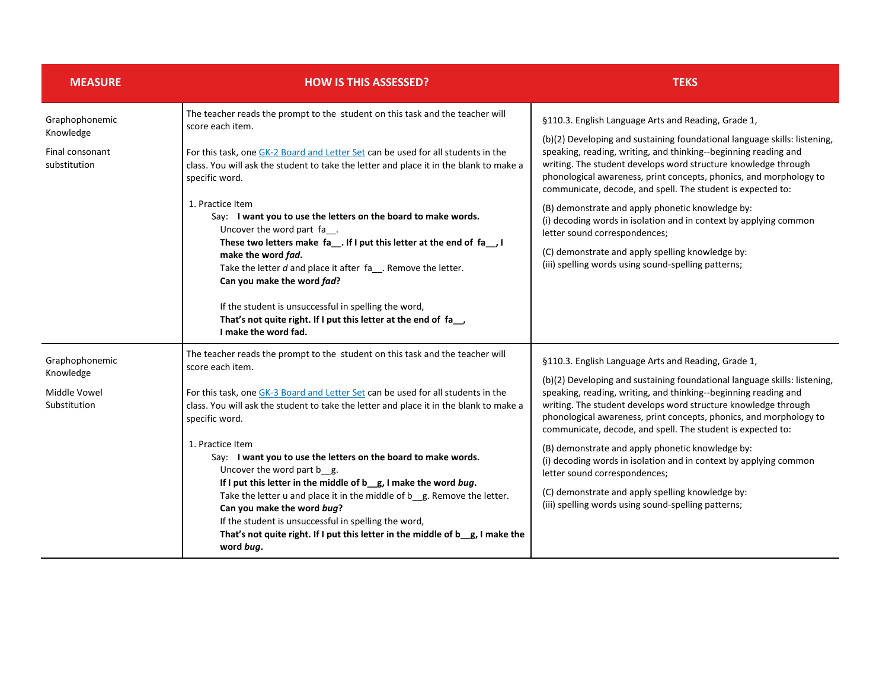| <b>MEASURE</b>                                                 | <b>HOW IS THIS ASSESSED?</b>                                                                                                                                                                                                                                                                                                                                                                                                                                                                                                                                                                                                                                                                                                                                              | <b>TEKS</b>                                                                                                                                                                                                                                                                                                                                                                                                                                                                                                                                                                                                                                                                     |
|----------------------------------------------------------------|---------------------------------------------------------------------------------------------------------------------------------------------------------------------------------------------------------------------------------------------------------------------------------------------------------------------------------------------------------------------------------------------------------------------------------------------------------------------------------------------------------------------------------------------------------------------------------------------------------------------------------------------------------------------------------------------------------------------------------------------------------------------------|---------------------------------------------------------------------------------------------------------------------------------------------------------------------------------------------------------------------------------------------------------------------------------------------------------------------------------------------------------------------------------------------------------------------------------------------------------------------------------------------------------------------------------------------------------------------------------------------------------------------------------------------------------------------------------|
| Graphophonemic<br>Knowledge<br>Final consonant<br>substitution | The teacher reads the prompt to the student on this task and the teacher will<br>score each item.<br>For this task, one GK-2 Board and Letter Set can be used for all students in the<br>class. You will ask the student to take the letter and place it in the blank to make a<br>specific word.<br>1. Practice Item<br>Say: I want you to use the letters on the board to make words.<br>Uncover the word part fa__.<br>These two letters make fa_. If I put this letter at the end of fa_, I<br>make the word fad.<br>Take the letter $d$ and place it after $fa$ . Remove the letter.<br>Can you make the word fad?<br>If the student is unsuccessful in spelling the word,<br>That's not quite right. If I put this letter at the end of fa_<br>I make the word fad. | §110.3. English Language Arts and Reading, Grade 1,<br>(b)(2) Developing and sustaining foundational language skills: listening,<br>speaking, reading, writing, and thinking--beginning reading and<br>writing. The student develops word structure knowledge through<br>phonological awareness, print concepts, phonics, and morphology to<br>communicate, decode, and spell. The student is expected to:<br>(B) demonstrate and apply phonetic knowledge by:<br>(i) decoding words in isolation and in context by applying common<br>letter sound correspondences;<br>(C) demonstrate and apply spelling knowledge by:<br>(iii) spelling words using sound-spelling patterns; |
| Graphophonemic<br>Knowledge<br>Middle Vowel<br>Substitution    | The teacher reads the prompt to the student on this task and the teacher will<br>score each item.<br>For this task, one GK-3 Board and Letter Set can be used for all students in the<br>class. You will ask the student to take the letter and place it in the blank to make a<br>specific word.<br>1. Practice Item<br>Say: I want you to use the letters on the board to make words.<br>Uncover the word part b g.<br>If I put this letter in the middle of $b$ g, I make the word bug.<br>Take the letter u and place it in the middle of b g. Remove the letter.<br>Can you make the word bug?<br>If the student is unsuccessful in spelling the word,<br>That's not quite right. If I put this letter in the middle of b_g, I make the<br>word bug.                 | §110.3. English Language Arts and Reading, Grade 1,<br>(b)(2) Developing and sustaining foundational language skills: listening,<br>speaking, reading, writing, and thinking--beginning reading and<br>writing. The student develops word structure knowledge through<br>phonological awareness, print concepts, phonics, and morphology to<br>communicate, decode, and spell. The student is expected to:<br>(B) demonstrate and apply phonetic knowledge by:<br>(i) decoding words in isolation and in context by applying common<br>letter sound correspondences;<br>(C) demonstrate and apply spelling knowledge by:<br>(iii) spelling words using sound-spelling patterns; |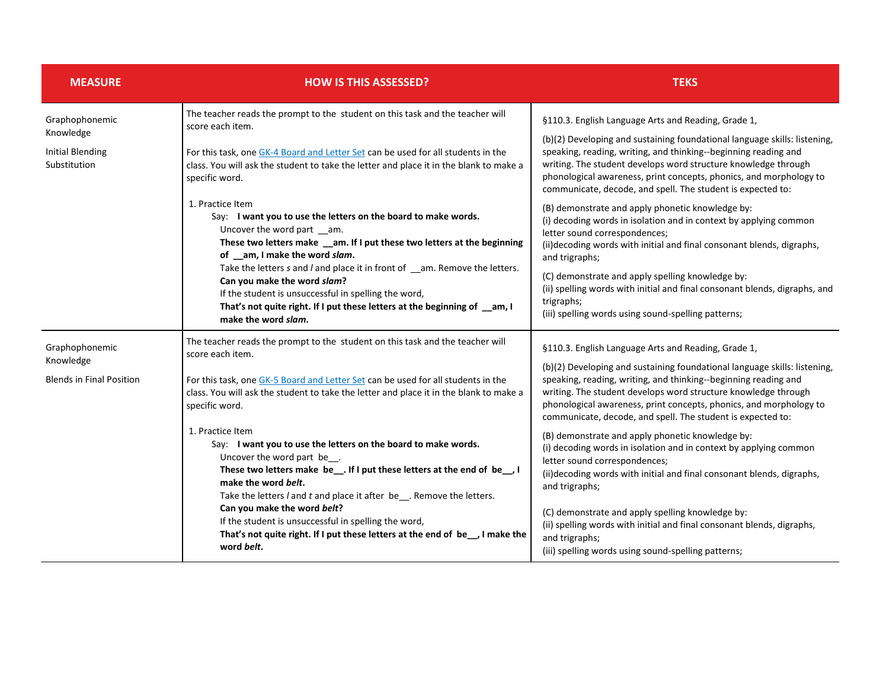| <b>MEASURE</b>                               | <b>HOW IS THIS ASSESSED?</b>                                                                                                                                                                                                                                                                | <b>TEKS</b>                                                                                                                                                                                                                                                                                                                                         |
|----------------------------------------------|---------------------------------------------------------------------------------------------------------------------------------------------------------------------------------------------------------------------------------------------------------------------------------------------|-----------------------------------------------------------------------------------------------------------------------------------------------------------------------------------------------------------------------------------------------------------------------------------------------------------------------------------------------------|
| Graphophonemic<br>Knowledge                  | The teacher reads the prompt to the student on this task and the teacher will<br>score each item.                                                                                                                                                                                           | §110.3. English Language Arts and Reading, Grade 1,                                                                                                                                                                                                                                                                                                 |
| <b>Initial Blending</b><br>Substitution      | For this task, one GK-4 Board and Letter Set can be used for all students in the<br>class. You will ask the student to take the letter and place it in the blank to make a<br>specific word.                                                                                                | (b)(2) Developing and sustaining foundational language skills: listening,<br>speaking, reading, writing, and thinking--beginning reading and<br>writing. The student develops word structure knowledge through<br>phonological awareness, print concepts, phonics, and morphology to<br>communicate, decode, and spell. The student is expected to: |
|                                              | 1. Practice Item<br>Say: I want you to use the letters on the board to make words.<br>Uncover the word part __am.<br>These two letters make _am. If I put these two letters at the beginning<br>of _am, I make the word slam.                                                               | (B) demonstrate and apply phonetic knowledge by:<br>(i) decoding words in isolation and in context by applying common<br>letter sound correspondences;<br>(ii) decoding words with initial and final consonant blends, digraphs,<br>and trigraphs;                                                                                                  |
|                                              | Take the letters s and l and place it in front of _am. Remove the letters.<br>Can you make the word slam?<br>If the student is unsuccessful in spelling the word,<br>That's not quite right. If I put these letters at the beginning of _am, I<br>make the word slam.                       | (C) demonstrate and apply spelling knowledge by:<br>(ii) spelling words with initial and final consonant blends, digraphs, and<br>trigraphs;<br>(iii) spelling words using sound-spelling patterns;                                                                                                                                                 |
| Graphophonemic                               | The teacher reads the prompt to the student on this task and the teacher will<br>score each item.                                                                                                                                                                                           | §110.3. English Language Arts and Reading, Grade 1,                                                                                                                                                                                                                                                                                                 |
| Knowledge<br><b>Blends in Final Position</b> | For this task, one GK-5 Board and Letter Set can be used for all students in the<br>class. You will ask the student to take the letter and place it in the blank to make a<br>specific word.                                                                                                | (b)(2) Developing and sustaining foundational language skills: listening,<br>speaking, reading, writing, and thinking--beginning reading and<br>writing. The student develops word structure knowledge through<br>phonological awareness, print concepts, phonics, and morphology to<br>communicate, decode, and spell. The student is expected to: |
|                                              | 1. Practice Item<br>Say: I want you to use the letters on the board to make words.<br>Uncover the word part be<br>These two letters make be__. If I put these letters at the end of be__. I<br>make the word belt.<br>Take the letters / and t and place it after be__. Remove the letters. | (B) demonstrate and apply phonetic knowledge by:<br>(i) decoding words in isolation and in context by applying common<br>letter sound correspondences;<br>(ii)decoding words with initial and final consonant blends, digraphs,<br>and trigraphs;                                                                                                   |
|                                              | Can you make the word belt?<br>If the student is unsuccessful in spelling the word,<br>That's not quite right. If I put these letters at the end of be_, I make the<br>word belt.                                                                                                           | (C) demonstrate and apply spelling knowledge by:<br>(ii) spelling words with initial and final consonant blends, digraphs,<br>and trigraphs;<br>(iii) spelling words using sound-spelling patterns;                                                                                                                                                 |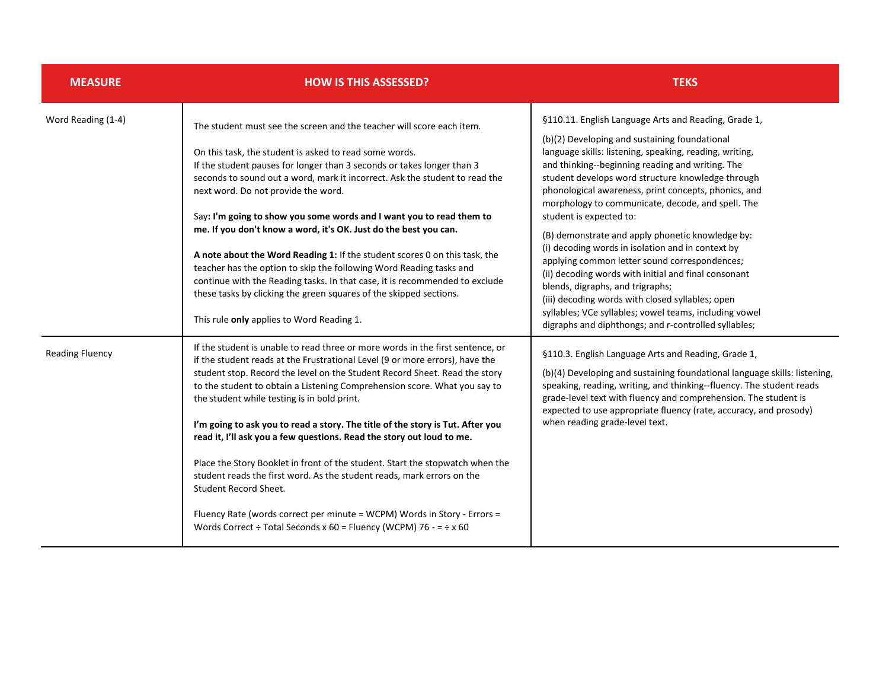| <b>MEASURE</b>         | <b>HOW IS THIS ASSESSED?</b>                                                                                                                                                                                                                                                                                                                                                                                                                                                                                                                                                                                                                                                                                                                                                                                                                                                  | <b>TEKS</b>                                                                                                                                                                                                                                                                                                                                                                                                                                                                                                                                                                                                                                                                                                                                                                                                                                   |
|------------------------|-------------------------------------------------------------------------------------------------------------------------------------------------------------------------------------------------------------------------------------------------------------------------------------------------------------------------------------------------------------------------------------------------------------------------------------------------------------------------------------------------------------------------------------------------------------------------------------------------------------------------------------------------------------------------------------------------------------------------------------------------------------------------------------------------------------------------------------------------------------------------------|-----------------------------------------------------------------------------------------------------------------------------------------------------------------------------------------------------------------------------------------------------------------------------------------------------------------------------------------------------------------------------------------------------------------------------------------------------------------------------------------------------------------------------------------------------------------------------------------------------------------------------------------------------------------------------------------------------------------------------------------------------------------------------------------------------------------------------------------------|
| Word Reading (1-4)     | The student must see the screen and the teacher will score each item.<br>On this task, the student is asked to read some words.<br>If the student pauses for longer than 3 seconds or takes longer than 3<br>seconds to sound out a word, mark it incorrect. Ask the student to read the<br>next word. Do not provide the word.<br>Say: I'm going to show you some words and I want you to read them to<br>me. If you don't know a word, it's OK. Just do the best you can.<br>A note about the Word Reading 1: If the student scores 0 on this task, the<br>teacher has the option to skip the following Word Reading tasks and<br>continue with the Reading tasks. In that case, it is recommended to exclude<br>these tasks by clicking the green squares of the skipped sections.<br>This rule only applies to Word Reading 1.                                            | §110.11. English Language Arts and Reading, Grade 1,<br>(b)(2) Developing and sustaining foundational<br>language skills: listening, speaking, reading, writing,<br>and thinking--beginning reading and writing. The<br>student develops word structure knowledge through<br>phonological awareness, print concepts, phonics, and<br>morphology to communicate, decode, and spell. The<br>student is expected to:<br>(B) demonstrate and apply phonetic knowledge by:<br>(i) decoding words in isolation and in context by<br>applying common letter sound correspondences;<br>(ii) decoding words with initial and final consonant<br>blends, digraphs, and trigraphs;<br>(iii) decoding words with closed syllables; open<br>syllables; VCe syllables; vowel teams, including vowel<br>digraphs and diphthongs; and r-controlled syllables; |
| <b>Reading Fluency</b> | If the student is unable to read three or more words in the first sentence, or<br>if the student reads at the Frustrational Level (9 or more errors), have the<br>student stop. Record the level on the Student Record Sheet. Read the story<br>to the student to obtain a Listening Comprehension score. What you say to<br>the student while testing is in bold print.<br>I'm going to ask you to read a story. The title of the story is Tut. After you<br>read it, I'll ask you a few questions. Read the story out loud to me.<br>Place the Story Booklet in front of the student. Start the stopwatch when the<br>student reads the first word. As the student reads, mark errors on the<br>Student Record Sheet.<br>Fluency Rate (words correct per minute = WCPM) Words in Story - Errors =<br>Words Correct ÷ Total Seconds x 60 = Fluency (WCPM) 76 - = $\div$ x 60 | §110.3. English Language Arts and Reading, Grade 1,<br>(b)(4) Developing and sustaining foundational language skills: listening,<br>speaking, reading, writing, and thinking--fluency. The student reads<br>grade-level text with fluency and comprehension. The student is<br>expected to use appropriate fluency (rate, accuracy, and prosody)<br>when reading grade-level text.                                                                                                                                                                                                                                                                                                                                                                                                                                                            |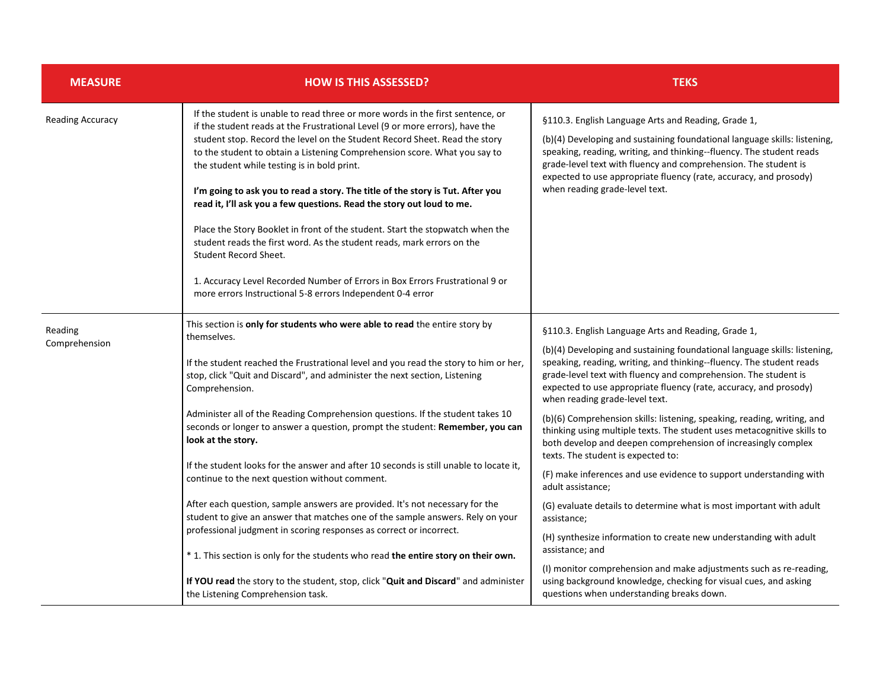| <b>MEASURE</b>          | <b>HOW IS THIS ASSESSED?</b>                                                                                                                                                                                                                                                                                                                                                                                                                                                                                                                                                                                                                                                                                            | <b>TEKS</b>                                                                                                                                                                                                                                                                                                                                                                        |
|-------------------------|-------------------------------------------------------------------------------------------------------------------------------------------------------------------------------------------------------------------------------------------------------------------------------------------------------------------------------------------------------------------------------------------------------------------------------------------------------------------------------------------------------------------------------------------------------------------------------------------------------------------------------------------------------------------------------------------------------------------------|------------------------------------------------------------------------------------------------------------------------------------------------------------------------------------------------------------------------------------------------------------------------------------------------------------------------------------------------------------------------------------|
| <b>Reading Accuracy</b> | If the student is unable to read three or more words in the first sentence, or<br>if the student reads at the Frustrational Level (9 or more errors), have the<br>student stop. Record the level on the Student Record Sheet. Read the story<br>to the student to obtain a Listening Comprehension score. What you say to<br>the student while testing is in bold print.<br>I'm going to ask you to read a story. The title of the story is Tut. After you<br>read it, I'll ask you a few questions. Read the story out loud to me.<br>Place the Story Booklet in front of the student. Start the stopwatch when the<br>student reads the first word. As the student reads, mark errors on the<br>Student Record Sheet. | §110.3. English Language Arts and Reading, Grade 1,<br>(b)(4) Developing and sustaining foundational language skills: listening,<br>speaking, reading, writing, and thinking--fluency. The student reads<br>grade-level text with fluency and comprehension. The student is<br>expected to use appropriate fluency (rate, accuracy, and prosody)<br>when reading grade-level text. |
|                         | 1. Accuracy Level Recorded Number of Errors in Box Errors Frustrational 9 or<br>more errors Instructional 5-8 errors Independent 0-4 error                                                                                                                                                                                                                                                                                                                                                                                                                                                                                                                                                                              |                                                                                                                                                                                                                                                                                                                                                                                    |
| Reading                 | This section is only for students who were able to read the entire story by<br>themselves.                                                                                                                                                                                                                                                                                                                                                                                                                                                                                                                                                                                                                              | §110.3. English Language Arts and Reading, Grade 1,                                                                                                                                                                                                                                                                                                                                |
| Comprehension           | If the student reached the Frustrational level and you read the story to him or her,<br>stop, click "Quit and Discard", and administer the next section, Listening<br>Comprehension.                                                                                                                                                                                                                                                                                                                                                                                                                                                                                                                                    | (b)(4) Developing and sustaining foundational language skills: listening,<br>speaking, reading, writing, and thinking--fluency. The student reads<br>grade-level text with fluency and comprehension. The student is<br>expected to use appropriate fluency (rate, accuracy, and prosody)<br>when reading grade-level text.                                                        |
|                         | Administer all of the Reading Comprehension questions. If the student takes 10<br>seconds or longer to answer a question, prompt the student: Remember, you can<br>look at the story.                                                                                                                                                                                                                                                                                                                                                                                                                                                                                                                                   | (b)(6) Comprehension skills: listening, speaking, reading, writing, and<br>thinking using multiple texts. The student uses metacognitive skills to<br>both develop and deepen comprehension of increasingly complex<br>texts. The student is expected to:                                                                                                                          |
|                         | If the student looks for the answer and after 10 seconds is still unable to locate it,<br>continue to the next question without comment.                                                                                                                                                                                                                                                                                                                                                                                                                                                                                                                                                                                | (F) make inferences and use evidence to support understanding with<br>adult assistance;                                                                                                                                                                                                                                                                                            |
|                         | After each question, sample answers are provided. It's not necessary for the<br>student to give an answer that matches one of the sample answers. Rely on your                                                                                                                                                                                                                                                                                                                                                                                                                                                                                                                                                          | (G) evaluate details to determine what is most important with adult<br>assistance;                                                                                                                                                                                                                                                                                                 |
|                         | professional judgment in scoring responses as correct or incorrect.<br>* 1. This section is only for the students who read the entire story on their own.                                                                                                                                                                                                                                                                                                                                                                                                                                                                                                                                                               | (H) synthesize information to create new understanding with adult<br>assistance; and                                                                                                                                                                                                                                                                                               |
|                         | If YOU read the story to the student, stop, click "Quit and Discard" and administer<br>the Listening Comprehension task.                                                                                                                                                                                                                                                                                                                                                                                                                                                                                                                                                                                                | (I) monitor comprehension and make adjustments such as re-reading,<br>using background knowledge, checking for visual cues, and asking<br>questions when understanding breaks down.                                                                                                                                                                                                |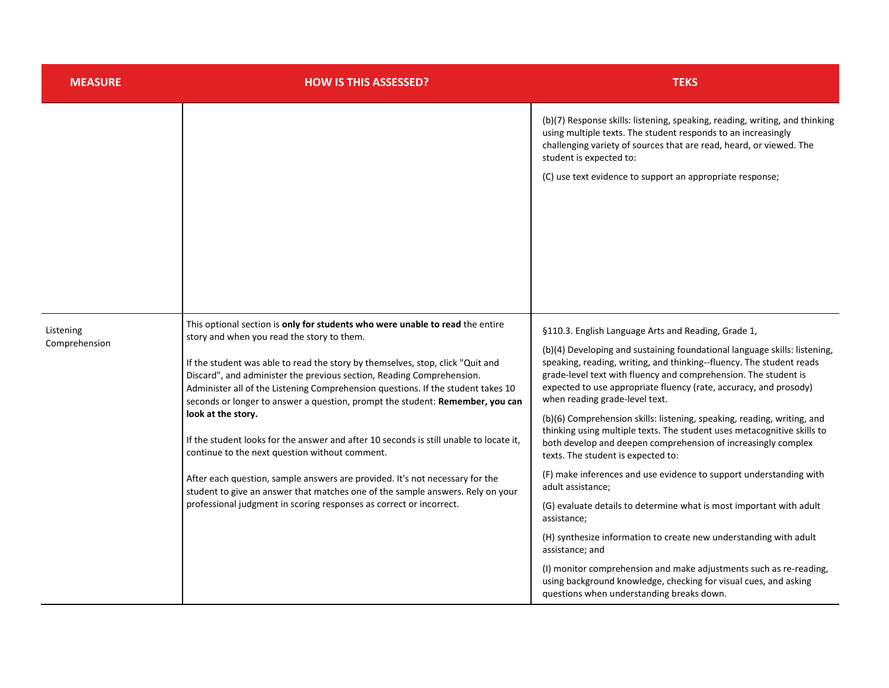| <b>MEASURE</b>             | <b>HOW IS THIS ASSESSED?</b>                                                                                                                                                                                                                                                                                                                                                                                                                                                                                                                                                                                                                                                                                                                                                                                                                                           | <b>TEKS</b>                                                                                                                                                                                                                                                                                                                                                                                                                                                                                                                                                                                                                                                                                                                                                                                                                                                                                                                                                                                                                                                                                                     |
|----------------------------|------------------------------------------------------------------------------------------------------------------------------------------------------------------------------------------------------------------------------------------------------------------------------------------------------------------------------------------------------------------------------------------------------------------------------------------------------------------------------------------------------------------------------------------------------------------------------------------------------------------------------------------------------------------------------------------------------------------------------------------------------------------------------------------------------------------------------------------------------------------------|-----------------------------------------------------------------------------------------------------------------------------------------------------------------------------------------------------------------------------------------------------------------------------------------------------------------------------------------------------------------------------------------------------------------------------------------------------------------------------------------------------------------------------------------------------------------------------------------------------------------------------------------------------------------------------------------------------------------------------------------------------------------------------------------------------------------------------------------------------------------------------------------------------------------------------------------------------------------------------------------------------------------------------------------------------------------------------------------------------------------|
|                            |                                                                                                                                                                                                                                                                                                                                                                                                                                                                                                                                                                                                                                                                                                                                                                                                                                                                        | (b)(7) Response skills: listening, speaking, reading, writing, and thinking<br>using multiple texts. The student responds to an increasingly<br>challenging variety of sources that are read, heard, or viewed. The<br>student is expected to:<br>(C) use text evidence to support an appropriate response;                                                                                                                                                                                                                                                                                                                                                                                                                                                                                                                                                                                                                                                                                                                                                                                                     |
| Listening<br>Comprehension | This optional section is only for students who were unable to read the entire<br>story and when you read the story to them.<br>If the student was able to read the story by themselves, stop, click "Quit and<br>Discard", and administer the previous section, Reading Comprehension.<br>Administer all of the Listening Comprehension questions. If the student takes 10<br>seconds or longer to answer a question, prompt the student: Remember, you can<br>look at the story.<br>If the student looks for the answer and after 10 seconds is still unable to locate it,<br>continue to the next question without comment.<br>After each question, sample answers are provided. It's not necessary for the<br>student to give an answer that matches one of the sample answers. Rely on your<br>professional judgment in scoring responses as correct or incorrect. | §110.3. English Language Arts and Reading, Grade 1,<br>(b)(4) Developing and sustaining foundational language skills: listening,<br>speaking, reading, writing, and thinking--fluency. The student reads<br>grade-level text with fluency and comprehension. The student is<br>expected to use appropriate fluency (rate, accuracy, and prosody)<br>when reading grade-level text.<br>(b)(6) Comprehension skills: listening, speaking, reading, writing, and<br>thinking using multiple texts. The student uses metacognitive skills to<br>both develop and deepen comprehension of increasingly complex<br>texts. The student is expected to:<br>(F) make inferences and use evidence to support understanding with<br>adult assistance;<br>(G) evaluate details to determine what is most important with adult<br>assistance;<br>(H) synthesize information to create new understanding with adult<br>assistance; and<br>(I) monitor comprehension and make adjustments such as re-reading,<br>using background knowledge, checking for visual cues, and asking<br>questions when understanding breaks down. |